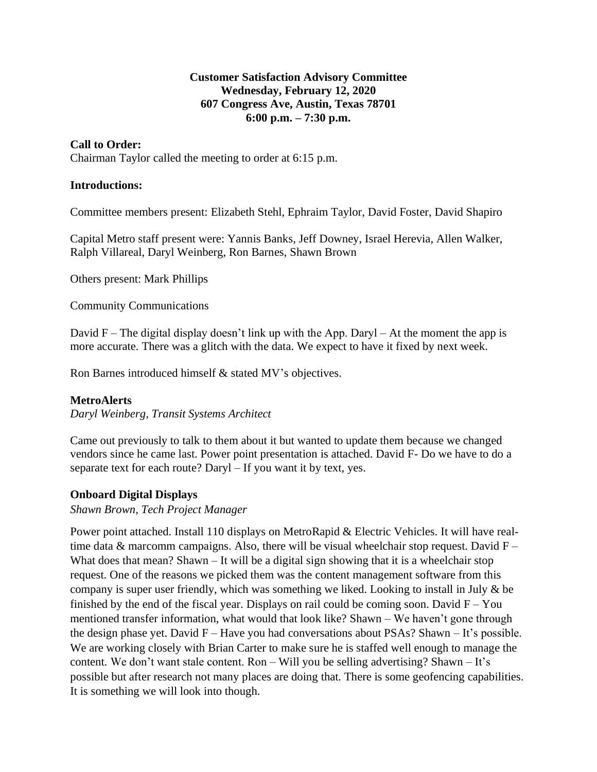## **Customer Satisfaction Advisory Committee Wednesday, February 12, 2020 607 Congress Ave, Austin, Texas 78701 6:00 p.m. – 7:30 p.m.**

# **Call to Order:**

Chairman Taylor called the meeting to order at 6:15 p.m.

## **Introductions:**

Committee members present: Elizabeth Stehl, Ephraim Taylor, David Foster, David Shapiro

Capital Metro staff present were: Yannis Banks, Jeff Downey, Israel Herevia, Allen Walker, Ralph Villareal, Daryl Weinberg, Ron Barnes, Shawn Brown

Others present: Mark Phillips

Community Communications

David  $F$  – The digital display doesn't link up with the App. Daryl – At the moment the app is more accurate. There was a glitch with the data. We expect to have it fixed by next week.

Ron Barnes introduced himself & stated MV's objectives.

### **MetroAlerts**

*Daryl Weinberg, Transit Systems Architect*

Came out previously to talk to them about it but wanted to update them because we changed vendors since he came last. Power point presentation is attached. David F- Do we have to do a separate text for each route? Daryl – If you want it by text, yes.

# **Onboard Digital Displays**

## *Shawn Brown, Tech Project Manager*

Power point attached. Install 110 displays on MetroRapid & Electric Vehicles. It will have realtime data & marcomm campaigns. Also, there will be visual wheelchair stop request. David  $F -$ What does that mean? Shawn – It will be a digital sign showing that it is a wheelchair stop request. One of the reasons we picked them was the content management software from this company is super user friendly, which was something we liked. Looking to install in July & be finished by the end of the fiscal year. Displays on rail could be coming soon. David  $F - You$ mentioned transfer information, what would that look like? Shawn – We haven't gone through the design phase yet. David  $F - H$ ave you had conversations about PSAs? Shawn  $- It$ 's possible. We are working closely with Brian Carter to make sure he is staffed well enough to manage the content. We don't want stale content. Ron – Will you be selling advertising? Shawn – It's possible but after research not many places are doing that. There is some geofencing capabilities. It is something we will look into though.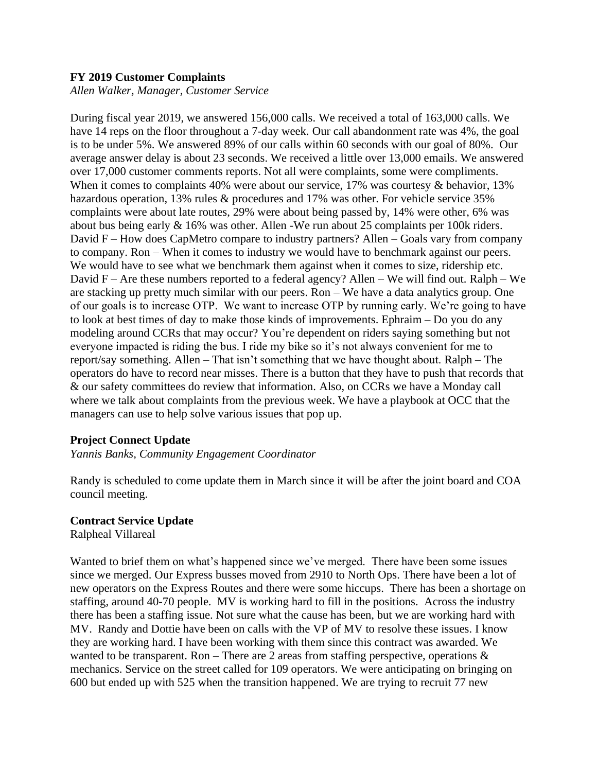#### **FY 2019 Customer Complaints**

*Allen Walker, Manager, Customer Service*

During fiscal year 2019, we answered 156,000 calls. We received a total of 163,000 calls. We have 14 reps on the floor throughout a 7-day week. Our call abandonment rate was 4%, the goal is to be under 5%. We answered 89% of our calls within 60 seconds with our goal of 80%. Our average answer delay is about 23 seconds. We received a little over 13,000 emails. We answered over 17,000 customer comments reports. Not all were complaints, some were compliments. When it comes to complaints 40% were about our service, 17% was courtesy & behavior, 13% hazardous operation, 13% rules & procedures and 17% was other. For vehicle service 35% complaints were about late routes, 29% were about being passed by, 14% were other, 6% was about bus being early & 16% was other. Allen -We run about 25 complaints per 100k riders. David F – How does CapMetro compare to industry partners? Allen – Goals vary from company to company. Ron – When it comes to industry we would have to benchmark against our peers. We would have to see what we benchmark them against when it comes to size, ridership etc. David F – Are these numbers reported to a federal agency? Allen – We will find out. Ralph – We are stacking up pretty much similar with our peers. Ron – We have a data analytics group. One of our goals is to increase OTP. We want to increase OTP by running early. We're going to have to look at best times of day to make those kinds of improvements. Ephraim – Do you do any modeling around CCRs that may occur? You're dependent on riders saying something but not everyone impacted is riding the bus. I ride my bike so it's not always convenient for me to report/say something. Allen – That isn't something that we have thought about. Ralph – The operators do have to record near misses. There is a button that they have to push that records that & our safety committees do review that information. Also, on CCRs we have a Monday call where we talk about complaints from the previous week. We have a playbook at OCC that the managers can use to help solve various issues that pop up.

### **Project Connect Update**

*Yannis Banks, Community Engagement Coordinator*

Randy is scheduled to come update them in March since it will be after the joint board and COA council meeting.

#### **Contract Service Update**

Ralpheal Villareal

Wanted to brief them on what's happened since we've merged. There have been some issues since we merged. Our Express busses moved from 2910 to North Ops. There have been a lot of new operators on the Express Routes and there were some hiccups. There has been a shortage on staffing, around 40-70 people. MV is working hard to fill in the positions. Across the industry there has been a staffing issue. Not sure what the cause has been, but we are working hard with MV. Randy and Dottie have been on calls with the VP of MV to resolve these issues. I know they are working hard. I have been working with them since this contract was awarded. We wanted to be transparent. Ron – There are 2 areas from staffing perspective, operations  $\&$ mechanics. Service on the street called for 109 operators. We were anticipating on bringing on 600 but ended up with 525 when the transition happened. We are trying to recruit 77 new